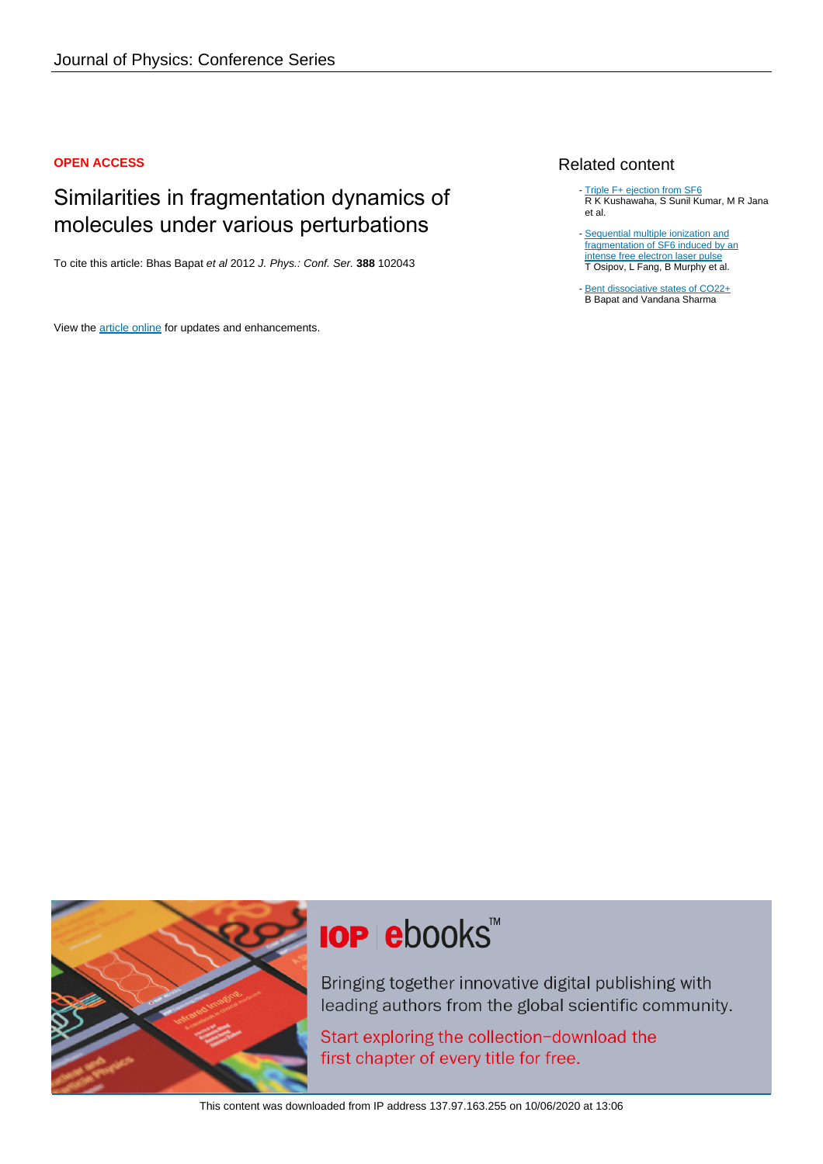### **OPEN ACCESS**

## Similarities in fragmentation dynamics of molecules under various perturbations

To cite this article: Bhas Bapat et al 2012 J. Phys.: Conf. Ser. **388** 102043

View the [article online](https://doi.org/10.1088/1742-6596/388/10/102043) for updates and enhancements.

### Related content

- [Triple F+ ejection from SF6](http://iopscience.iop.org/article/10.1088/0953-4075/43/20/205204) R K Kushawaha, S Sunil Kumar, M R Jana et al.
- [Sequential multiple ionization and](http://iopscience.iop.org/article/10.1088/0953-4075/46/16/164032) [fragmentation of SF6 induced by an](http://iopscience.iop.org/article/10.1088/0953-4075/46/16/164032) [intense free electron laser pulse](http://iopscience.iop.org/article/10.1088/0953-4075/46/16/164032) T Osipov, L Fang, B Murphy et al.
- [Bent dissociative states of CO22+](http://iopscience.iop.org/article/10.1088/0953-4075/40/1/002) B Bapat and Vandana Sharma -



# **IOP ebooks**™

Bringing together innovative digital publishing with leading authors from the global scientific community.

Start exploring the collection-download the first chapter of every title for free.